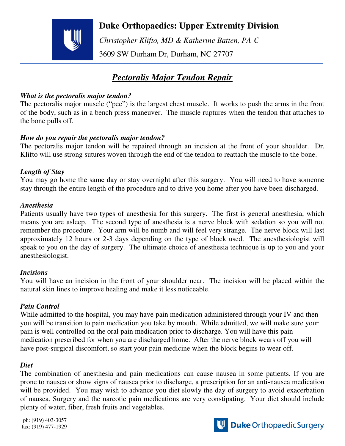

## **Duke Orthopaedics: Upper Extremity Division**

 *Christopher Klifto, MD & Katherine Batten, PA-C*  3609 SW Durham Dr, Durham, NC 27707

# *Pectoralis Major Tendon Repair*

#### *What is the pectoralis major tendon?*

The pectoralis major muscle ("pec") is the largest chest muscle. It works to push the arms in the front of the body, such as in a bench press maneuver. The muscle ruptures when the tendon that attaches to the bone pulls off.

### *How do you repair the pectoralis major tendon?*

The pectoralis major tendon will be repaired through an incision at the front of your shoulder. Dr. Klifto will use strong sutures woven through the end of the tendon to reattach the muscle to the bone.

## *Length of Stay*

You may go home the same day or stay overnight after this surgery. You will need to have someone stay through the entire length of the procedure and to drive you home after you have been discharged.

#### *Anesthesia*

Patients usually have two types of anesthesia for this surgery. The first is general anesthesia, which means you are asleep. The second type of anesthesia is a nerve block with sedation so you will not remember the procedure. Your arm will be numb and will feel very strange. The nerve block will last approximately 12 hours or 2-3 days depending on the type of block used. The anesthesiologist will speak to you on the day of surgery. The ultimate choice of anesthesia technique is up to you and your anesthesiologist.

#### *Incisions*

You will have an incision in the front of your shoulder near. The incision will be placed within the natural skin lines to improve healing and make it less noticeable.

## *Pain Control*

While admitted to the hospital, you may have pain medication administered through your IV and then you will be transition to pain medication you take by mouth. While admitted, we will make sure your pain is well controlled on the oral pain medication prior to discharge. You will have this pain medication prescribed for when you are discharged home. After the nerve block wears off you will have post-surgical discomfort, so start your pain medicine when the block begins to wear off.

## *Diet*

The combination of anesthesia and pain medications can cause nausea in some patients. If you are prone to nausea or show signs of nausea prior to discharge, a prescription for an anti-nausea medication will be provided. You may wish to advance you diet slowly the day of surgery to avoid exacerbation of nausea. Surgery and the narcotic pain medications are very constipating. Your diet should include plenty of water, fiber, fresh fruits and vegetables.

ph: (919) 403-3057 fax: (919) 477-1929